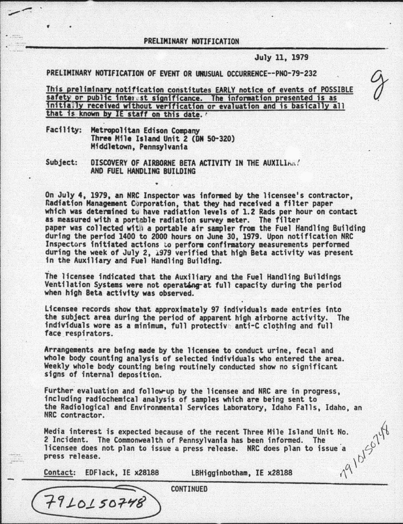## PRELIMINARY NOTIFICATION

July 11, 1979

PRELIMINARY NOTIFICATION OF EVENT OR UNUSUAL OCCURRENCE--PN0-79-232

This preliminary notification constitutes EARLY notice of events of POSSIBLE safety or public interest significance. The information presented is as initially received without verification or evaluation and is basically all that is known by IE staff on this date.

Facility: Metropolitan Edison Company<br>Three Mile Island Unit 2 (DN 50-320)<br>Middletown, Pennsylvania

Subject: DISCOVERY OF AIRBORNE BETA ACTIVITY IN THE AUXILIAN! AND FUEL HANDLING BUILDING

On July 4, 1979, an NRC Inspector was infonaed by the licensee's contractor, Radiation Management Corporation, that they had received a filter paper<br>which was determined tu have radiation levels of 1.2 Rads per hour on contact as measured with a portable radiation survey meter. The filter paper was collected with a portable air sampler from the Fuel Handling Building<br>during the period 1400 to 2000 hours on June 30, 1979. Upon notification NRC Inspectors initiated actions to perform confirmatory measurements performed<br>during the week of July 2, 1979 verified that high Beta activity was present<br>in the Auxiliary and Fuel Handling Building.

The licensee indicated that the Auxiliary and the Fuel Handling Buildings<br>Ventilation Systems were not operating at full capacity during the period<br>when high Beta activity was observed.

Licensee records show that approximately 97 individuals made entries into the subject area during the period of apparent high airborne activity. The individuals wore as a minimum, full protective anti-C clothing and full face respirators.

Arrangements are being aade by the licensee to conduct urine, fecal and whole body counting analysis of selected individuals who entered the area. Weekly whole body counting being routinely conducted show no significant signs of internal deposition.

Further evaluation and follow-up by the licensee and NRC are in progress, including radiochemical analysis of samples which are being sent to the Radiological and Environmental Services Laboratory, Idaho Falls, Idaho, an NRC contractor.

Media interest is expected because of the recent Three Mile Island Unit No.<br>2 Incident. The Commonwealth of Pennsylvania has been informed. The<br>licensee does not plan to issue a press release. NRC does plan to issue a<br>pres licensee does not plan to issue a press release. NRC does plan to issue a press release.

Contact: EDFlack, IE x28188 LBHiggtnbotham, IE x28188

 $7910150748$ 

CONTINUED